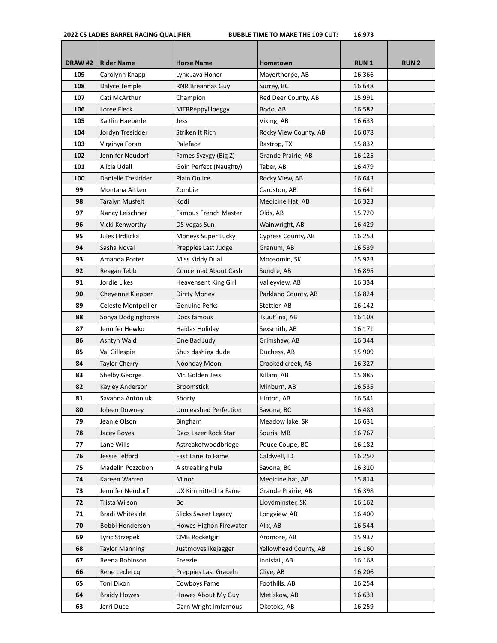**2022 CS LADIES BARREL RACING QUALIFIER BUBBLE TIME TO MAKE THE 109 CUT: 16.973**

| DRAW#2 | <b>Rider Name</b>     | <b>Horse Name</b>           | Hometown              | <b>RUN1</b> | <b>RUN2</b> |
|--------|-----------------------|-----------------------------|-----------------------|-------------|-------------|
| 109    | Carolynn Knapp        | Lynx Java Honor             | Mayerthorpe, AB       | 16.366      |             |
| 108    | Dalyce Temple         | <b>RNR Breannas Guy</b>     | Surrey, BC            | 16.648      |             |
| 107    | Cati McArthur         | Champion                    | Red Deer County, AB   | 15.991      |             |
| 106    | Loree Fleck           | MTRPeppylilpeggy            | Bodo, AB              | 16.582      |             |
| 105    | Kaitlin Haeberle      | Jess                        | Viking, AB            | 16.633      |             |
| 104    | Jordyn Tresidder      | Striken It Rich             | Rocky View County, AB | 16.078      |             |
| 103    | Virginya Foran        | Paleface                    | Bastrop, TX           | 15.832      |             |
| 102    | Jennifer Neudorf      | Fames Syzygy (Big Z)        | Grande Prairie, AB    | 16.125      |             |
| 101    | Alicia Udall          | Goin Perfect (Naughty)      | Taber, AB             | 16.479      |             |
| 100    | Danielle Tresidder    | Plain On Ice                | Rocky View, AB        | 16.643      |             |
| 99     | Montana Aitken        | Zombie                      | Cardston, AB          | 16.641      |             |
| 98     | Taralyn Musfelt       | Kodi                        | Medicine Hat, AB      | 16.323      |             |
| 97     | Nancy Leischner       | <b>Famous French Master</b> | Olds, AB              | 15.720      |             |
| 96     | Vicki Kenworthy       | DS Vegas Sun                | Wainwright, AB        | 16.429      |             |
| 95     | Jules Hrdlicka        | Moneys Super Lucky          | Cypress County, AB    | 16.253      |             |
| 94     | Sasha Noval           | Preppies Last Judge         | Granum, AB            | 16.539      |             |
| 93     | Amanda Porter         | Miss Kiddy Dual             | Moosomin, SK          | 15.923      |             |
| 92     | Reagan Tebb           | <b>Concerned About Cash</b> | Sundre, AB            | 16.895      |             |
| 91     | Jordie Likes          | Heavensent King Girl        | Valleyview, AB        | 16.334      |             |
| 90     | Cheyenne Klepper      | Dirrty Money                | Parkland County, AB   | 16.824      |             |
| 89     | Celeste Montpellier   | Genuine Perks               | Stettler, AB          | 16.142      |             |
| 88     | Sonya Dodginghorse    | Docs famous                 | Tsuut'ina, AB         | 16.108      |             |
| 87     | Jennifer Hewko        | Haidas Holiday              | Sexsmith, AB          | 16.171      |             |
| 86     | Ashtyn Wald           | One Bad Judy                | Grimshaw, AB          | 16.344      |             |
| 85     | Val Gillespie         | Shus dashing dude           | Duchess, AB           | 15.909      |             |
| 84     | <b>Taylor Cherry</b>  | Noonday Moon                | Crooked creek, AB     | 16.327      |             |
| 83     | Shelby George         | Mr. Golden Jess             | Killam, AB            | 15.885      |             |
| 82     | Kayley Anderson       | <b>Broomstick</b>           | Minburn, AB           | 16.535      |             |
| 81     | Savanna Antoniuk      | Shorty                      | Hinton, AB            | 16.541      |             |
| 80     | Joleen Downey         | Unnleashed Perfection       | Savona, BC            | 16.483      |             |
| 79     | Jeanie Olson          | Bingham                     | Meadow lake, SK       | 16.631      |             |
| 78     | Jacey Boyes           | Dacs Lazer Rock Star        | Souris, MB            | 16.767      |             |
| 77     | Lane Wills            | Astreakofwoodbridge         | Pouce Coupe, BC       | 16.182      |             |
| 76     | Jessie Telford        | Fast Lane To Fame           | Caldwell, ID          | 16.250      |             |
| 75     | Madelin Pozzobon      | A streaking hula            | Savona, BC            | 16.310      |             |
| 74     | Kareen Warren         | Minor                       | Medicine hat, AB      | 15.814      |             |
| 73     | Jennifer Neudorf      | UX Kimmitted ta Fame        | Grande Prairie, AB    | 16.398      |             |
| 72     | Trista Wilson         | Bo                          | Lloydminster, SK      | 16.162      |             |
| 71     | Bradi Whiteside       | Slicks Sweet Legacy         | Longview, AB          | 16.400      |             |
| 70     | Bobbi Henderson       | Howes Highon Firewater      | Alix, AB              | 16.544      |             |
| 69     | Lyric Strzepek        | <b>CMB Rocketgirl</b>       | Ardmore, AB           | 15.937      |             |
| 68     | <b>Taylor Manning</b> | Justmoveslikejagger         | Yellowhead County, AB | 16.160      |             |
| 67     | Reena Robinson        | Freezie                     | Innisfail, AB         | 16.168      |             |
| 66     | Rene Leclercq         | Preppies Last Graceln       | Clive, AB             | 16.206      |             |
| 65     | Toni Dixon            | Cowboys Fame                | Foothills, AB         | 16.254      |             |
| 64     | <b>Braidy Howes</b>   | Howes About My Guy          | Metiskow, AB          | 16.633      |             |
| 63     | Jerri Duce            | Darn Wright Imfamous        | Okotoks, AB           | 16.259      |             |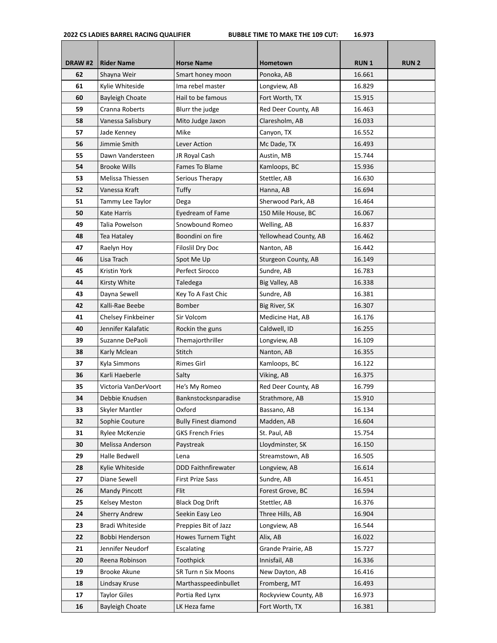**2022 CS LADIES BARREL RACING QUALIFIER BUBBLE TIME TO MAKE THE 109 CUT: 16.973**

| DRAW#2     | <b>Rider Name</b>      | <b>Horse Name</b>           | Hometown              | <b>RUN1</b> | <b>RUN2</b> |
|------------|------------------------|-----------------------------|-----------------------|-------------|-------------|
| 62         | Shayna Weir            | Smart honey moon            | Ponoka, AB            | 16.661      |             |
| 61         | Kylie Whiteside        | Ima rebel master            | Longview, AB          | 16.829      |             |
| 60         | <b>Bayleigh Choate</b> | Hail to be famous           | Fort Worth, TX        | 15.915      |             |
| 59         | Cranna Roberts         | Blurr the judge             | Red Deer County, AB   | 16.463      |             |
| 58         | Vanessa Salisbury      | Mito Judge Jaxon            | Claresholm, AB        | 16.033      |             |
| 57         | Jade Kenney            | Mike                        | Canyon, TX            | 16.552      |             |
| 56         | Jimmie Smith           | Lever Action                | Mc Dade, TX           | 16.493      |             |
| 55         | Dawn Vandersteen       | JR Royal Cash               | Austin, MB            | 15.744      |             |
| 54         | <b>Brooke Wills</b>    | Fames To Blame              | Kamloops, BC          | 15.936      |             |
| 53         | Melissa Thiessen       | Serious Therapy             | Stettler, AB          | 16.630      |             |
| 52         | Vanessa Kraft          | Tuffy                       | Hanna, AB             | 16.694      |             |
| 51         | Tammy Lee Taylor       | Dega                        | Sherwood Park, AB     | 16.464      |             |
| 50         | Kate Harris            | Eyedream of Fame            | 150 Mile House, BC    | 16.067      |             |
| 49         | Talia Powelson         | Snowbound Romeo             | Welling, AB           | 16.837      |             |
| 48         | Tea Hataley            | Boondini on fire            | Yellowhead County, AB | 16.462      |             |
| 47         | Raelyn Hoy             | Filoslil Dry Doc            | Nanton, AB            | 16.442      |             |
| 46         | Lisa Trach             | Spot Me Up                  | Sturgeon County, AB   | 16.149      |             |
| 45         | Kristin York           | Perfect Sirocco             | Sundre, AB            | 16.783      |             |
| 44         | Kirsty White           | Taledega                    | Big Valley, AB        | 16.338      |             |
| 43         | Dayna Sewell           | Key To A Fast Chic          | Sundre, AB            | 16.381      |             |
| 42         | Kalli-Rae Beebe        | Bomber                      | Big River, SK         | 16.307      |             |
| 41         | Chelsey Finkbeiner     | Sir Volcom                  | Medicine Hat, AB      | 16.176      |             |
| 40         | Jennifer Kalafatic     | Rockin the guns             | Caldwell, ID          | 16.255      |             |
| 39         | Suzanne DePaoli        | Themajorthriller            | Longview, AB          | 16.109      |             |
| 38         | Karly Mclean           | Stitch                      | Nanton, AB            | 16.355      |             |
| 37         | Kyla Simmons           | <b>Rimes Girl</b>           | Kamloops, BC          | 16.122      |             |
| 36         | Karli Haeberle         | Salty                       | Viking, AB            | 16.375      |             |
| 35         | Victoria VanDerVoort   | He's My Romeo               | Red Deer County, AB   | 16.799      |             |
| 34         | Debbie Knudsen         | Banknstocksnparadise        | Strathmore, AB        | 15.910      |             |
| 33         | Skyler Mantler         | Oxford                      | Bassano, AB           | 16.134      |             |
| 32         | Sophie Couture         | <b>Bully Finest diamond</b> | Madden, AB            | 16.604      |             |
| 31         | Rylee McKenzie         | <b>GKS French Fries</b>     | St. Paul, AB          | 15.754      |             |
| 30         | Melissa Anderson       | Paystreak                   | Lloydminster, SK      | 16.150      |             |
| 29         | Halle Bedwell          | Lena                        | Streamstown, AB       | 16.505      |             |
| 28         | Kylie Whiteside        | <b>DDD Faithnfirewater</b>  | Longview, AB          | 16.614      |             |
| 27         | Diane Sewell           | <b>First Prize Sass</b>     | Sundre, AB            | 16.451      |             |
| 26         | Mandy Pincott          | Flit                        | Forest Grove, BC      | 16.594      |             |
| 25         | Kelsey Meston          | <b>Black Dog Drift</b>      | Stettler, AB          | 16.376      |             |
| 24         | <b>Sherry Andrew</b>   | Seekin Easy Leo             | Three Hills, AB       | 16.904      |             |
| 23         | Bradi Whiteside        | Preppies Bit of Jazz        | Longview, AB          | 16.544      |             |
| 22         | Bobbi Henderson        | Howes Turnem Tight          | Alix, AB              | 16.022      |             |
| 21         | Jennifer Neudorf       | Escalating                  | Grande Prairie, AB    | 15.727      |             |
| 20         | Reena Robinson         | Toothpick                   | Innisfail, AB         | 16.336      |             |
| 19         | <b>Brooke Akune</b>    | SR Turn n Six Moons         | New Dayton, AB        | 16.416      |             |
| 18         | Lindsay Kruse          | Marthasspeedinbullet        | Fromberg, MT          | 16.493      |             |
| 17         | <b>Taylor Giles</b>    | Portia Red Lynx             | Rockyview County, AB  | 16.973      |             |
| ${\bf 16}$ | <b>Bayleigh Choate</b> | LK Heza fame                | Fort Worth, TX        | 16.381      |             |